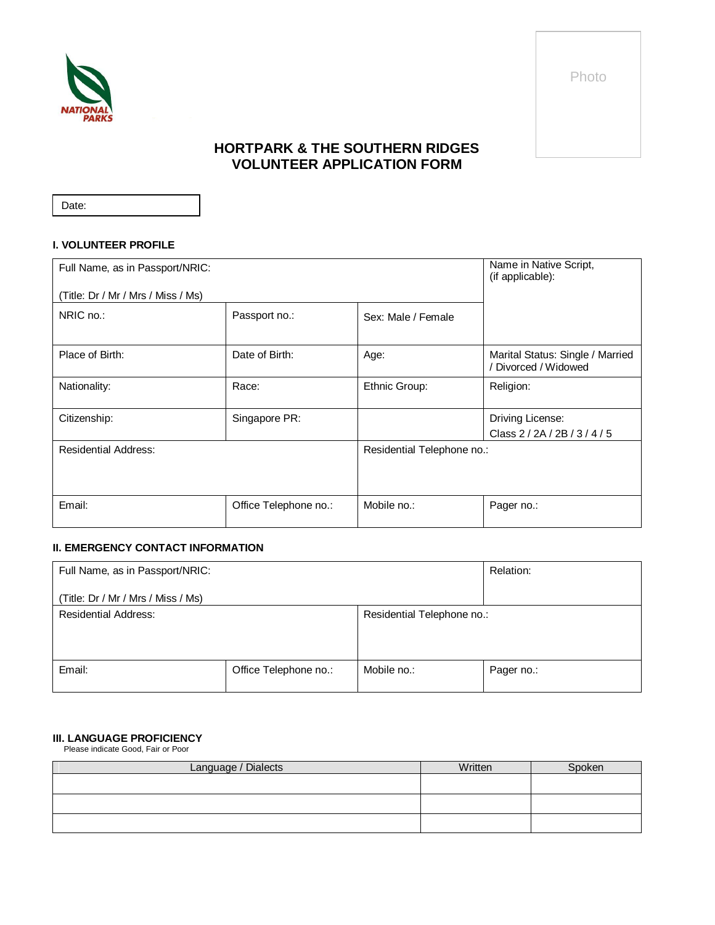

Photo

# **HORTPARK & THE SOUTHERN RIDGES VOLUNTEER APPLICATION FORM**

Date:

### **I. VOLUNTEER PROFILE**

| Full Name, as in Passport/NRIC:    |                       |                            | Name in Native Script,<br>(if applicable):             |
|------------------------------------|-----------------------|----------------------------|--------------------------------------------------------|
| (Title: Dr / Mr / Mrs / Miss / Ms) |                       |                            |                                                        |
| NRIC no.:                          | Passport no.:         | Sex: Male / Female         |                                                        |
| Place of Birth:                    | Date of Birth:        | Age:                       | Marital Status: Single / Married<br>Divorced / Widowed |
| Nationality:                       | Race:                 | Ethnic Group:              | Religion:                                              |
| Citizenship:                       | Singapore PR:         |                            | Driving License:<br>Class 2/2A/2B/3/4/5                |
| <b>Residential Address:</b>        |                       | Residential Telephone no.: |                                                        |
| Email:                             | Office Telephone no.: | Mobile no.:                | Pager no.:                                             |

# **II. EMERGENCY CONTACT INFORMATION**

| Full Name, as in Passport/NRIC:    |                       |                            | Relation:  |
|------------------------------------|-----------------------|----------------------------|------------|
| (Title: Dr / Mr / Mrs / Miss / Ms) |                       |                            |            |
| <b>Residential Address:</b>        |                       | Residential Telephone no.: |            |
|                                    |                       |                            |            |
|                                    |                       |                            |            |
| Email:                             | Office Telephone no.: | Mobile no.:                | Pager no.: |
|                                    |                       |                            |            |

## **III. LANGUAGE PROFICIENCY**

Please indicate Good, Fair or Poor

| Language / Dialects | Written | Spoken |
|---------------------|---------|--------|
|                     |         |        |
|                     |         |        |
|                     |         |        |
|                     |         |        |